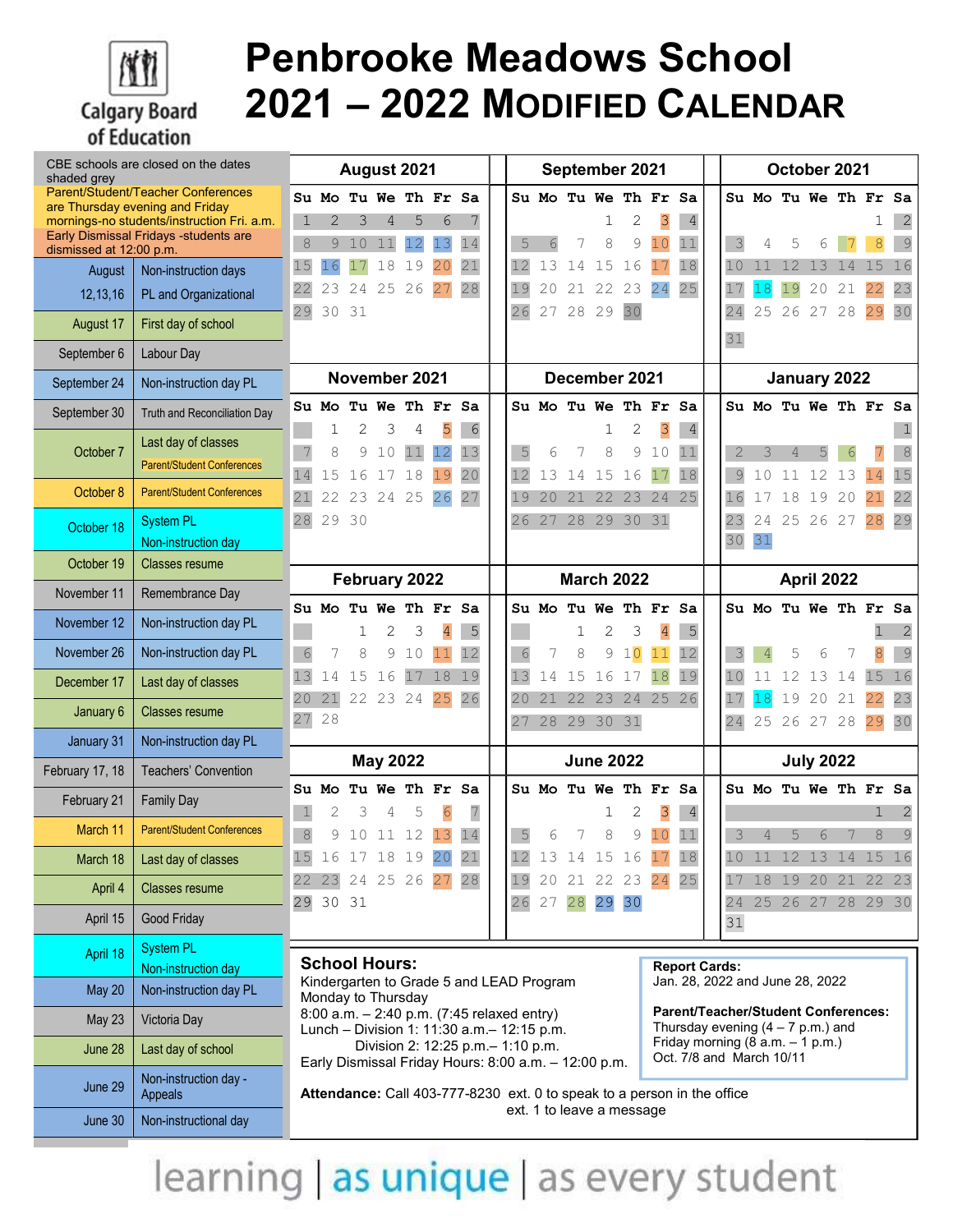

## Penbrooke Meadows School 2021 – 2022 MODIFIED CALENDAR

| CBE schools are closed on the dates<br>shaded grey |                                                                                      | August 2021                                                                                                                                                                                                                                                                                                                                                                                                                                  |            |        |               |         |                      |                  |  | September 2021 |          |                   |                   |                           |                |                      |  | October 2021 |                |          |                      |    |          |              |
|----------------------------------------------------|--------------------------------------------------------------------------------------|----------------------------------------------------------------------------------------------------------------------------------------------------------------------------------------------------------------------------------------------------------------------------------------------------------------------------------------------------------------------------------------------------------------------------------------------|------------|--------|---------------|---------|----------------------|------------------|--|----------------|----------|-------------------|-------------------|---------------------------|----------------|----------------------|--|--------------|----------------|----------|----------------------|----|----------|--------------|
|                                                    | Parent/Student/Teacher Conferences<br>are Thursday evening and Friday                |                                                                                                                                                                                                                                                                                                                                                                                                                                              | Su Mo      |        |               |         | Tu We Th Fr Sa       |                  |  |                |          |                   |                   | Su Mo Tu We Th Fr         |                | Sa                   |  |              |                |          | Su Mo Tu We Th Fr    |    |          | Sa           |
|                                                    | mornings-no students/instruction Fri. a.m.<br>Early Dismissal Fridays - students are | 1                                                                                                                                                                                                                                                                                                                                                                                                                                            | 2          |        | 4             | 5       | 6                    |                  |  |                |          |                   | 1                 | 2                         | 3              | $\overline{4}$       |  |              |                |          |                      |    |          |              |
| dismissed at 12:00 p.m.                            |                                                                                      | 8                                                                                                                                                                                                                                                                                                                                                                                                                                            | 9          | 10     | 11            | 12<br>9 | 13<br>20             | 14<br>21         |  | 5              | 6        | 7<br>14           | 8                 | 9                         | 10<br>17       | 11                   |  | 3<br>10      |                |          |                      |    | 8        | 9<br>16      |
| August                                             | Non-instruction days                                                                 | 15<br>22                                                                                                                                                                                                                                                                                                                                                                                                                                     | 16<br>23   | 24     | 18<br>25      | 1<br>26 | 27                   | 28               |  | 12<br>19       | 13<br>20 |                   | 15                | 16<br>23                  | 24             | 18<br>25             |  | 17           | 11<br>18       | 12<br>19 | 13<br>20             | 21 | 15<br>22 | 23           |
| 12,13,16                                           | PL and Organizational                                                                | 29                                                                                                                                                                                                                                                                                                                                                                                                                                           | 30         | 31     |               |         |                      |                  |  | 26             | 27       | 28                | 29                | 30                        |                |                      |  | 24           | 25             | 26       | 27                   | 28 | 29       | 30           |
| August 17                                          | First day of school                                                                  |                                                                                                                                                                                                                                                                                                                                                                                                                                              |            |        |               |         |                      |                  |  |                |          |                   |                   |                           |                |                      |  | 31           |                |          |                      |    |          |              |
| September 6                                        | Labour Day                                                                           |                                                                                                                                                                                                                                                                                                                                                                                                                                              |            |        |               |         |                      |                  |  |                |          |                   |                   |                           |                |                      |  |              |                |          |                      |    |          |              |
| September 24                                       | Non-instruction day PL                                                               |                                                                                                                                                                                                                                                                                                                                                                                                                                              |            |        | November 2021 |         |                      |                  |  |                |          |                   |                   | December 2021             |                |                      |  |              |                |          | January 2022         |    |          |              |
| September 30                                       | Truth and Reconciliation Day                                                         |                                                                                                                                                                                                                                                                                                                                                                                                                                              | Su Mo<br>1 |        |               |         | Tu We Th Fr Sa       |                  |  |                |          |                   | 1                 | Su Mo Tu We Th Fr Sa<br>2 |                |                      |  |              |                |          | Su Mo Tu We Th Fr Sa |    |          |              |
| October 7                                          | Last day of classes                                                                  |                                                                                                                                                                                                                                                                                                                                                                                                                                              | 8          | 2<br>9 | 3<br>10       | 4<br>11 | 5<br>12              | $\sqrt{6}$<br>13 |  | 5              | 6        | 7                 | 8                 | 9                         | 3<br>10        | $\overline{4}$<br>11 |  | 2            | 3              | 4        |                      |    |          | 1<br>$\,8\,$ |
|                                                    | <b>Parent/Student Conferences</b>                                                    | 14                                                                                                                                                                                                                                                                                                                                                                                                                                           | 15         | 16     |               | 18      | 19                   | 20               |  | 12             | 13       | 14                | 15                | 16                        | 17             | 18                   |  | 9            | 10             | 11       | 12                   | 13 | 14       | 15           |
| October 8                                          | <b>Parent/Student Conferences</b>                                                    | 21                                                                                                                                                                                                                                                                                                                                                                                                                                           | 22         | 23     | 24            | 25      | 26                   | 27               |  | 19             | 20       | 21                | 22                | 23                        | 24             | 25                   |  | 16           |                | 18       | 19                   | 20 | 21       | 22           |
| October 18                                         | <b>System PL</b>                                                                     | 28                                                                                                                                                                                                                                                                                                                                                                                                                                           | 29         | 30     |               |         |                      |                  |  | 26             | 27       |                   |                   | 28 29 30 31               |                |                      |  | 23           | 24             |          | 25 26 27             |    | 28       | 29           |
|                                                    | Non-instruction day                                                                  |                                                                                                                                                                                                                                                                                                                                                                                                                                              |            |        |               |         |                      |                  |  |                |          |                   |                   |                           |                |                      |  | 30           | 31             |          |                      |    |          |              |
| October 19                                         | <b>Classes resume</b>                                                                |                                                                                                                                                                                                                                                                                                                                                                                                                                              |            |        | February 2022 |         |                      |                  |  |                |          |                   |                   | <b>March 2022</b>         |                |                      |  |              |                |          | April 2022           |    |          |              |
| November 11                                        | Remembrance Day                                                                      |                                                                                                                                                                                                                                                                                                                                                                                                                                              | Su Mo      |        | Tu We         |         | Th Fr Sa             |                  |  |                | Su Mo    |                   |                   | Tu We Th Fr               |                | Sa                   |  |              |                |          | Su Mo Tu We Th Fr Sa |    |          |              |
| November 12                                        | Non-instruction day PL                                                               |                                                                                                                                                                                                                                                                                                                                                                                                                                              |            |        | 2             | 3       | $\overline{4}$       | $\mathsf S$      |  |                |          |                   | 2                 | 3                         | $\overline{4}$ | 5                    |  |              |                |          |                      |    |          |              |
| November 26                                        | Non-instruction day PL                                                               | $\sqrt{6}$                                                                                                                                                                                                                                                                                                                                                                                                                                   | 7          | 8      | 9             | 10      | 11                   | 12               |  | 6              | 7        | 8                 | 9                 | 10                        | 11             | 12                   |  | 3            | $\overline{4}$ | 5        | 6                    |    | 8        | 9            |
| December 17                                        | Last day of classes                                                                  | 13                                                                                                                                                                                                                                                                                                                                                                                                                                           | 14         | 15     | 16            | 17      | 18                   | 19               |  | 13             | 14       | 15                | 16                | 17                        | 18             | 19                   |  | 10           | 11             | 12       | 13                   | 14 | 15       | 16           |
| January 6                                          | <b>Classes resume</b>                                                                | 20<br>27                                                                                                                                                                                                                                                                                                                                                                                                                                     | 21<br>28   |        | 22 23 24      |         | 25                   | 26               |  | 20<br>27       | 21       | 22<br>28 29 30 31 | 23                | 24                        | 25             | 26                   |  | 17<br>24     | 18<br>25       | 19       | 20<br>26 27 28       | 21 | 22<br>29 | 23<br>30     |
| January 31                                         | Non-instruction day PL                                                               |                                                                                                                                                                                                                                                                                                                                                                                                                                              |            |        |               |         |                      |                  |  |                |          |                   |                   |                           |                |                      |  |              |                |          |                      |    |          |              |
| February 17, 18                                    | <b>Teachers' Convention</b>                                                          | <b>May 2022</b>                                                                                                                                                                                                                                                                                                                                                                                                                              |            |        |               |         | <b>June 2022</b>     |                  |  |                |          |                   | <b>July 2022</b>  |                           |                |                      |  |              |                |          |                      |    |          |              |
| February 21                                        | <b>Family Day</b>                                                                    |                                                                                                                                                                                                                                                                                                                                                                                                                                              | Su Mo      |        |               |         | Tu We Th Fr Sa       |                  |  |                |          |                   |                   | Su Mo Tu We Th Fr         |                | Sa                   |  |              |                |          | Su Mo Tu We Th Fr Sa |    |          |              |
| March 11                                           | <b>Parent/Student Conferences</b>                                                    | $\mathbf 1$<br>$\,8\,$                                                                                                                                                                                                                                                                                                                                                                                                                       | 2<br>9     | 3      | 4<br>10 11 12 | 5       | 6<br>13              | 7<br>14          |  | 5              | 6        | 7                 | $\mathbf{1}$<br>8 | 2<br>9                    | 3<br>10        | $\overline{4}$<br>11 |  | 3            | 4              | 5        | 6                    |    | 1<br>8   | 9            |
| March 18                                           | Last day of classes                                                                  | 15                                                                                                                                                                                                                                                                                                                                                                                                                                           |            |        |               |         | 16 17 18 19 20 21    |                  |  | 12             | 13       |                   |                   | 14 15 16                  | 17             | 18                   |  |              |                |          | 10 11 12 13 14 15 16 |    |          |              |
| April 4                                            | Classes resume                                                                       |                                                                                                                                                                                                                                                                                                                                                                                                                                              |            |        |               |         | 22 23 24 25 26 27 28 |                  |  | 19             | 20       |                   |                   | 21 22 23 24               |                | 25                   |  |              |                |          | 17 18 19 20 21 22 23 |    |          |              |
| April 15                                           | Good Friday                                                                          |                                                                                                                                                                                                                                                                                                                                                                                                                                              | 29 30 31   |        |               |         |                      |                  |  |                | 26 27    | 28                |                   | 29 30                     |                |                      |  | 31           |                |          | 24 25 26 27 28 29 30 |    |          |              |
| April 18                                           | <b>System PL</b>                                                                     |                                                                                                                                                                                                                                                                                                                                                                                                                                              |            |        |               |         |                      |                  |  |                |          |                   |                   |                           |                |                      |  |              |                |          |                      |    |          |              |
|                                                    | Non-instruction day                                                                  | <b>School Hours:</b><br><b>Report Cards:</b>                                                                                                                                                                                                                                                                                                                                                                                                 |            |        |               |         |                      |                  |  |                |          |                   |                   |                           |                |                      |  |              |                |          |                      |    |          |              |
| May 20                                             | Non-instruction day PL                                                               | Kindergarten to Grade 5 and LEAD Program<br>Jan. 28, 2022 and June 28, 2022<br>Monday to Thursday<br>Parent/Teacher/Student Conferences:<br>8:00 a.m. - 2:40 p.m. (7:45 relaxed entry)<br>Thursday evening $(4 - 7 p.m.)$ and<br>Lunch - Division 1: 11:30 a.m. - 12:15 p.m.<br>Friday morning $(8 a.m. - 1 p.m.)$<br>Division 2: 12:25 p.m. - 1:10 p.m.<br>Oct. 7/8 and March 10/11<br>Early Dismissal Friday Hours: 8:00 a.m. - 12:00 p.m. |            |        |               |         |                      |                  |  |                |          |                   |                   |                           |                |                      |  |              |                |          |                      |    |          |              |
| <b>May 23</b>                                      | Victoria Day                                                                         |                                                                                                                                                                                                                                                                                                                                                                                                                                              |            |        |               |         |                      |                  |  |                |          |                   |                   |                           |                |                      |  |              |                |          |                      |    |          |              |
| June 28                                            | Last day of school                                                                   |                                                                                                                                                                                                                                                                                                                                                                                                                                              |            |        |               |         |                      |                  |  |                |          |                   |                   |                           |                |                      |  |              |                |          |                      |    |          |              |
| June 29                                            | Non-instruction day -<br>Appeals                                                     | Attendance: Call 403-777-8230 ext. 0 to speak to a person in the office<br>ext. 1 to leave a message                                                                                                                                                                                                                                                                                                                                         |            |        |               |         |                      |                  |  |                |          |                   |                   |                           |                |                      |  |              |                |          |                      |    |          |              |
| June 30                                            | Non-instructional day                                                                |                                                                                                                                                                                                                                                                                                                                                                                                                                              |            |        |               |         |                      |                  |  |                |          |                   |                   |                           |                |                      |  |              |                |          |                      |    |          |              |

learning as unique as every student